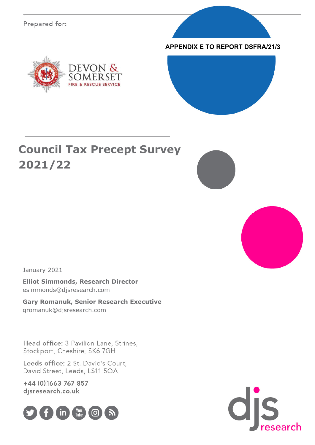Prepared for:







## **Council Tax Precept Survey 2021/22**





January 2021

**Elliot Simmonds, Research Director** esimmonds@djsresearch.com

**Gary Romanuk, Senior Research Executive** gromanuk@djsresearch.com

Head office: 3 Pavilion Lane, Strines, Stockport, Cheshire, SK6 7GH

Leeds office: 2 St. David's Court, David Street, Leeds, LS11 5QA

+44 (0) 1663 767 857 djsresearch.co.uk



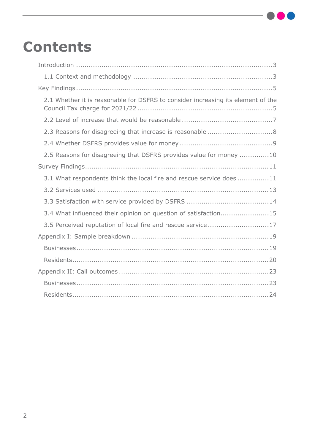# **Contents**

| 2.1 Whether it is reasonable for DSFRS to consider increasing its element of the |
|----------------------------------------------------------------------------------|
|                                                                                  |
| 2.3 Reasons for disagreeing that increase is reasonable 8                        |
|                                                                                  |
| 2.5 Reasons for disagreeing that DSFRS provides value for money 10               |
|                                                                                  |
| 3.1 What respondents think the local fire and rescue service does 11             |
|                                                                                  |
|                                                                                  |
| 3.4 What influenced their opinion on question of satisfaction15                  |
| 3.5 Perceived reputation of local fire and rescue service17                      |
|                                                                                  |
|                                                                                  |
|                                                                                  |
|                                                                                  |
|                                                                                  |
|                                                                                  |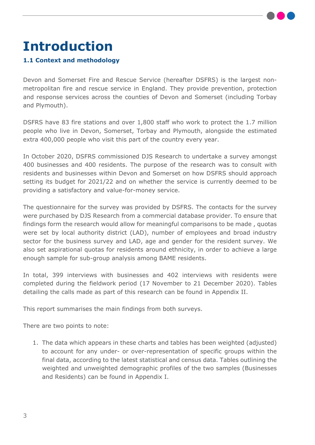

# <span id="page-2-0"></span>**Introduction**

#### <span id="page-2-1"></span>**1.1 Context and methodology**

Devon and Somerset Fire and Rescue Service (hereafter DSFRS) is the largest nonmetropolitan fire and rescue service in England. They provide prevention, protection and response services across the counties of Devon and Somerset (including Torbay and Plymouth).

DSFRS have 83 fire stations and over 1,800 staff who work to protect the 1.7 million people who live in Devon, Somerset, Torbay and Plymouth, alongside the estimated extra 400,000 people who visit this part of the country every year.

In October 2020, DSFRS commissioned DJS Research to undertake a survey amongst 400 businesses and 400 residents. The purpose of the research was to consult with residents and businesses within Devon and Somerset on how DSFRS should approach setting its budget for 2021/22 and on whether the service is currently deemed to be providing a satisfactory and value-for-money service.

The questionnaire for the survey was provided by DSFRS. The contacts for the survey were purchased by DJS Research from a commercial database provider. To ensure that findings form the research would allow for meaningful comparisons to be made , quotas were set by local authority district (LAD), number of employees and broad industry sector for the business survey and LAD, age and gender for the resident survey. We also set aspirational quotas for residents around ethnicity, in order to achieve a large enough sample for sub-group analysis among BAME residents.

In total, 399 interviews with businesses and 402 interviews with residents were completed during the fieldwork period (17 November to 21 December 2020). Tables detailing the calls made as part of this research can be found in Appendix II.

This report summarises the main findings from both surveys.

There are two points to note:

1. The data which appears in these charts and tables has been weighted (adjusted) to account for any under- or over-representation of specific groups within the final data, according to the latest statistical and census data. Tables outlining the weighted and unweighted demographic profiles of the two samples (Businesses and Residents) can be found in Appendix I.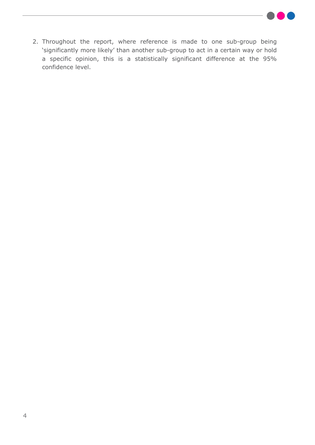

2. Throughout the report, where reference is made to one sub-group being 'significantly more likely' than another sub-group to act in a certain way or hold a specific opinion, this is a statistically significant difference at the 95% confidence level.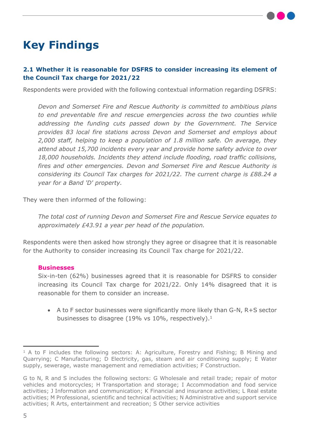

## <span id="page-4-0"></span>**Key Findings**

#### <span id="page-4-1"></span>**2.1 Whether it is reasonable for DSFRS to consider increasing its element of the Council Tax charge for 2021/22**

Respondents were provided with the following contextual information regarding DSFRS:

*Devon and Somerset Fire and Rescue Authority is committed to ambitious plans to end preventable fire and rescue emergencies across the two counties while addressing the funding cuts passed down by the Government. The Service provides 83 local fire stations across Devon and Somerset and employs about 2,000 staff, helping to keep a population of 1.8 million safe. On average, they attend about 15,700 incidents every year and provide home safety advice to over 18,000 households. Incidents they attend include flooding, road traffic collisions, fires and other emergencies. Devon and Somerset Fire and Rescue Authority is considering its Council Tax charges for 2021/22. The current charge is £88.24 a year for a Band 'D' property.*

They were then informed of the following:

*The total cost of running Devon and Somerset Fire and Rescue Service equates to approximately £43.91 a year per head of the population.*

Respondents were then asked how strongly they agree or disagree that it is reasonable for the Authority to consider increasing its Council Tax charge for 2021/22.

#### **Businesses**

Six-in-ten (62%) businesses agreed that it is reasonable for DSFRS to consider increasing its Council Tax charge for 2021/22. Only 14% disagreed that it is reasonable for them to consider an increase.

 A to F sector businesses were significantly more likely than G-N, R+S sector businesses to disagree (19% vs 10%, respectively).<sup>1</sup>

<sup>&</sup>lt;sup>1</sup> A to F includes the following sectors: A: Agriculture, Forestry and Fishing; B Mining and Quarrying; C Manufacturing; D Electricity, gas, steam and air conditioning supply; E Water supply, sewerage, waste management and remediation activities; F Construction.

G to N, R and S includes the following sectors: G Wholesale and retail trade; repair of motor vehicles and motorcycles; H Transportation and storage; I Accommodation and food service activities; J Information and communication; K Financial and insurance activities; L Real estate activities; M Professional, scientific and technical activities; N Administrative and support service activities; R Arts, entertainment and recreation; S Other service activities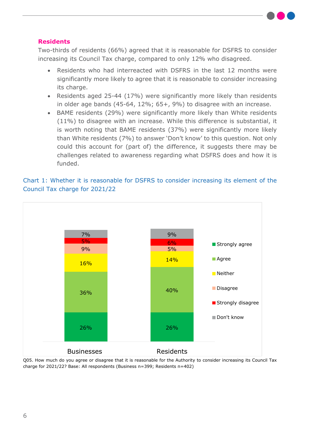#### **Residents**

Two-thirds of residents (66%) agreed that it is reasonable for DSFRS to consider increasing its Council Tax charge, compared to only 12% who disagreed.

- Residents who had interreacted with DSFRS in the last 12 months were significantly more likely to agree that it is reasonable to consider increasing its charge.
- Residents aged 25-44 (17%) were significantly more likely than residents in older age bands (45-64, 12%; 65+, 9%) to disagree with an increase.
- BAME residents (29%) were significantly more likely than White residents (11%) to disagree with an increase. While this difference is substantial, it is worth noting that BAME residents (37%) were significantly more likely than White residents (7%) to answer 'Don't know' to this question. Not only could this account for (part of) the difference, it suggests there may be challenges related to awareness regarding what DSFRS does and how it is funded.



#### Chart 1: Whether it is reasonable for DSFRS to consider increasing its element of the Council Tax charge for 2021/22

Q05. How much do you agree or disagree that it is reasonable for the Authority to consider increasing its Council Tax charge for 2021/22? Base: All respondents (Business n=399; Residents n=402)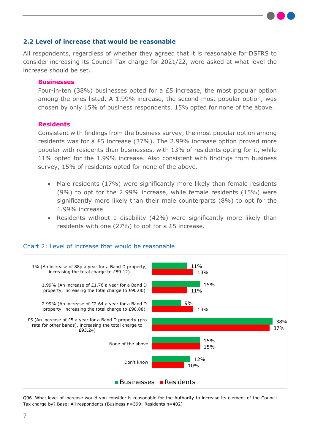#### <span id="page-6-0"></span>**2.2 Level of increase that would be reasonable**

All respondents, regardless of whether they agreed that it is reasonable for DSFRS to consider increasing its Council Tax charge for 2021/22, were asked at what level the increase should be set.

#### **Businesses**

Four-in-ten (38%) businesses opted for a £5 increase, the most popular option among the ones listed. A 1.99% increase, the second most popular option, was chosen by only 15% of business respondents. 15% opted for none of the above.

#### **Residents**

Consistent with findings from the business survey, the most popular option among residents was for a £5 increase (37%). The 2.99% increase option proved more popular with residents than businesses, with 13% of residents opting for it, while 11% opted for the 1.99% increase. Also consistent with findings from business survey, 15% of residents opted for none of the above.

- Male residents (17%) were significantly more likely than female residents (9%) to opt for the 2.99% increase, while female residents (15%) were significantly more likely than their male counterparts (8%) to opt for the 1.99% increase
- Residents without a disability (42%) were significantly more likely than residents with one (27%) to opt for a £5 increase.



#### Chart 2: Level of increase that would be reasonable

Q06. What level of increase would you consider is reasonable for the Authority to increase its element of the Council Tax charge by? Base: All respondents (Business n=399; Residents n=402)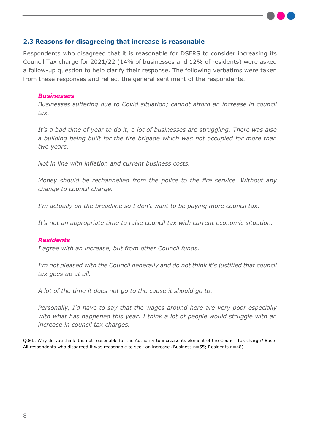#### <span id="page-7-0"></span>**2.3 Reasons for disagreeing that increase is reasonable**

Respondents who disagreed that it is reasonable for DSFRS to consider increasing its Council Tax charge for 2021/22 (14% of businesses and 12% of residents) were asked a follow-up question to help clarify their response. The following verbatims were taken from these responses and reflect the general sentiment of the respondents.

#### *Businesses*

*Businesses suffering due to Covid situation; cannot afford an increase in council tax.*

*It's a bad time of year to do it, a lot of businesses are struggling. There was also a building being built for the fire brigade which was not occupied for more than two years.*

*Not in line with inflation and current business costs.*

*Money should be rechannelled from the police to the fire service. Without any change to council charge.*

*I'm actually on the breadline so I don't want to be paying more council tax.*

*It's not an appropriate time to raise council tax with current economic situation.*

#### *Residents*

*I agree with an increase, but from other Council funds.*

*I'm not pleased with the Council generally and do not think it's justified that council tax goes up at all.*

*A lot of the time it does not go to the cause it should go to.*

*Personally, I'd have to say that the wages around here are very poor especially with what has happened this year. I think a lot of people would struggle with an increase in council tax charges.*

Q06b. Why do you think it is not reasonable for the Authority to increase its element of the Council Tax charge? Base: All respondents who disagreed it was reasonable to seek an increase (Business n=55; Residents n=48)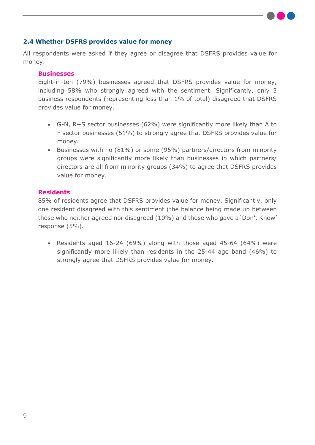#### <span id="page-8-0"></span>**2.4 Whether DSFRS provides value for money**

All respondents were asked if they agree or disagree that DSFRS provides value for money.

#### **Businesses**

Eight-in-ten (79%) businesses agreed that DSFRS provides value for money, including 58% who strongly agreed with the sentiment. Significantly, only 3 business respondents (representing less than 1% of total) disagreed that DSFRS provides value for money.

- G-N, R+S sector businesses (62%) were significantly more likely than A to F sector businesses (51%) to strongly agree that DSFRS provides value for money.
- Businesses with no (81%) or some (95%) partners/directors from minority groups were significantly more likely than businesses in which partners/ directors are all from minority groups (34%) to agree that DSFRS provides value for money.

#### **Residents**

85% of residents agree that DSFRS provides value for money. Significantly, only one resident disagreed with this sentiment (the balance being made up between those who neither agreed nor disagreed (10%) and those who gave a 'Don't Know' response (5%).

 Residents aged 16-24 (69%) along with those aged 45-64 (64%) were significantly more likely than residents in the 25-44 age band (46%) to strongly agree that DSFRS provides value for money.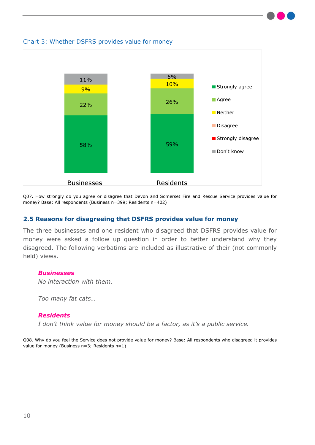

Chart 3: Whether DSFRS provides value for money

Q07. How strongly do you agree or disagree that Devon and Somerset Fire and Rescue Service provides value for money? Base: All respondents (Business n=399; Residents n=402)

#### <span id="page-9-0"></span>**2.5 Reasons for disagreeing that DSFRS provides value for money**

The three businesses and one resident who disagreed that DSFRS provides value for money were asked a follow up question in order to better understand why they disagreed. The following verbatims are included as illustrative of their (not commonly held) views.

#### *Businesses*

*No interaction with them.*

*Too many fat cats…*

#### *Residents*

*I don't think value for money should be a factor, as it's a public service.*

Q08. Why do you feel the Service does not provide value for money? Base: All respondents who disagreed it provides value for money (Business n=3; Residents n=1)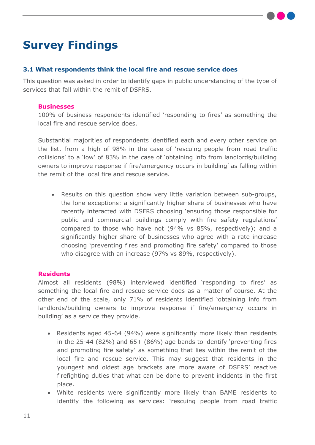## <span id="page-10-0"></span>**Survey Findings**

#### <span id="page-10-1"></span>**3.1 What respondents think the local fire and rescue service does**

This question was asked in order to identify gaps in public understanding of the type of services that fall within the remit of DSFRS.

#### **Businesses**

100% of business respondents identified 'responding to fires' as something the local fire and rescue service does.

Substantial majorities of respondents identified each and every other service on the list, from a high of 98% in the case of 'rescuing people from road traffic collisions' to a 'low' of 83% in the case of 'obtaining info from landlords/building owners to improve response if fire/emergency occurs in building' as falling within the remit of the local fire and rescue service.

 Results on this question show very little variation between sub-groups, the lone exceptions: a significantly higher share of businesses who have recently interacted with DSFRS choosing 'ensuring those responsible for public and commercial buildings comply with fire safety regulations' compared to those who have not (94% vs 85%, respectively); and a significantly higher share of businesses who agree with a rate increase choosing 'preventing fires and promoting fire safety' compared to those who disagree with an increase (97% vs 89%, respectively).

#### **Residents**

Almost all residents (98%) interviewed identified 'responding to fires' as something the local fire and rescue service does as a matter of course. At the other end of the scale, only 71% of residents identified 'obtaining info from landlords/building owners to improve response if fire/emergency occurs in building' as a service they provide.

- Residents aged 45-64 (94%) were significantly more likely than residents in the 25-44 (82%) and 65+ (86%) age bands to identify 'preventing fires and promoting fire safety' as something that lies within the remit of the local fire and rescue service. This may suggest that residents in the youngest and oldest age brackets are more aware of DSFRS' reactive firefighting duties that what can be done to prevent incidents in the first place.
- White residents were significantly more likely than BAME residents to identify the following as services: 'rescuing people from road traffic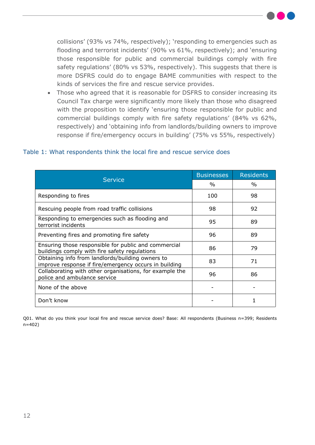collisions' (93% vs 74%, respectively); 'responding to emergencies such as flooding and terrorist incidents' (90% vs 61%, respectively); and 'ensuring those responsible for public and commercial buildings comply with fire safety regulations' (80% vs 53%, respectively). This suggests that there is more DSFRS could do to engage BAME communities with respect to the kinds of services the fire and rescue service provides.

 Those who agreed that it is reasonable for DSFRS to consider increasing its Council Tax charge were significantly more likely than those who disagreed with the proposition to identify 'ensuring those responsible for public and commercial buildings comply with fire safety regulations' (84% vs 62%, respectively) and 'obtaining info from landlords/building owners to improve response if fire/emergency occurs in building' (75% vs 55%, respectively)

| <b>Service</b>                                                                                            | <b>Businesses</b> | <b>Residents</b> |
|-----------------------------------------------------------------------------------------------------------|-------------------|------------------|
|                                                                                                           | $\%$              | $\%$             |
| Responding to fires                                                                                       | 100               | 98               |
| Rescuing people from road traffic collisions                                                              | 98                | 92               |
| Responding to emergencies such as flooding and<br>terrorist incidents                                     | 95                | 89               |
| Preventing fires and promoting fire safety                                                                | 96                | 89               |
| Ensuring those responsible for public and commercial<br>buildings comply with fire safety regulations     | 86                | 79               |
| Obtaining info from landlords/building owners to<br>improve response if fire/emergency occurs in building | 83                | 71               |
| Collaborating with other organisations, for example the<br>police and ambulance service                   | 96                | 86               |
| None of the above                                                                                         |                   |                  |
| Don't know                                                                                                |                   |                  |

#### Table 1: What respondents think the local fire and rescue service does

Q01. What do you think your local fire and rescue service does? Base: All respondents (Business n=399; Residents n=402)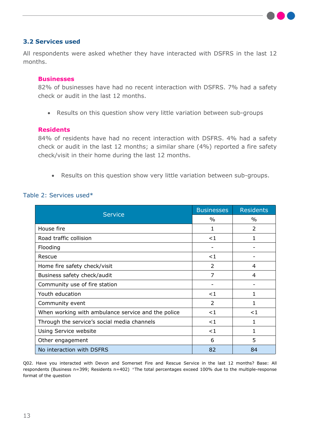

#### <span id="page-12-0"></span>**3.2 Services used**

All respondents were asked whether they have interacted with DSFRS in the last 12 months.

#### **Businesses**

82% of businesses have had no recent interaction with DSFRS. 7% had a safety check or audit in the last 12 months.

Results on this question show very little variation between sub-groups

#### **Residents**

84% of residents have had no recent interaction with DSFRS. 4% had a safety check or audit in the last 12 months; a similar share (4%) reported a fire safety check/visit in their home during the last 12 months.

Results on this question show very little variation between sub-groups.

#### Table 2: Services used\*

|                                                    | <b>Businesses</b> | <b>Residents</b> |
|----------------------------------------------------|-------------------|------------------|
| <b>Service</b>                                     | $\%$              | $\%$             |
| House fire                                         | 1                 | $\mathcal{P}$    |
| Road traffic collision                             | <1                | 1                |
| Flooding                                           |                   |                  |
| Rescue                                             | $\leq$ 1          |                  |
| Home fire safety check/visit                       | $\overline{2}$    | 4                |
| Business safety check/audit                        | 7                 | 4                |
| Community use of fire station                      |                   |                  |
| Youth education                                    | $\leq$ 1          | 1                |
| Community event                                    | $\mathcal{P}$     | $\mathbf{1}$     |
| When working with ambulance service and the police | $<$ 1             | $<$ 1            |
| Through the service's social media channels        | $\leq 1$          | 1                |
| Using Service website                              | <1                | 1                |
| Other engagement                                   | 6                 | 5                |
| No interaction with DSFRS                          | 82                | 84               |

Q02. Have you interacted with Devon and Somerset Fire and Rescue Service in the last 12 months? Base: All respondents (Business n=399; Residents n=402) \*The total percentages exceed 100% due to the multiple-response format of the question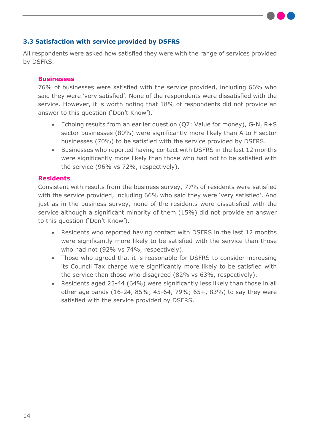#### <span id="page-13-0"></span>**3.3 Satisfaction with service provided by DSFRS**

All respondents were asked how satisfied they were with the range of services provided by DSFRS.

#### **Businesses**

76% of businesses were satisfied with the service provided, including 66% who said they were 'very satisfied'. None of the respondents were dissatisfied with the service. However, it is worth noting that 18% of respondents did not provide an answer to this question ('Don't Know').

- Echoing results from an earlier question (Q7: Value for money), G-N, R+S sector businesses (80%) were significantly more likely than A to F sector businesses (70%) to be satisfied with the service provided by DSFRS.
- Businesses who reported having contact with DSFRS in the last 12 months were significantly more likely than those who had not to be satisfied with the service (96% vs 72%, respectively).

#### **Residents**

Consistent with results from the business survey, 77% of residents were satisfied with the service provided, including 66% who said they were 'very satisfied'. And just as in the business survey, none of the residents were dissatisfied with the service although a significant minority of them (15%) did not provide an answer to this question ('Don't Know').

- Residents who reported having contact with DSFRS in the last 12 months were significantly more likely to be satisfied with the service than those who had not (92% vs 74%, respectively).
- Those who agreed that it is reasonable for DSFRS to consider increasing its Council Tax charge were significantly more likely to be satisfied with the service than those who disagreed (82% vs 63%, respectively).
- Residents aged 25-44 (64%) were significantly less likely than those in all other age bands (16-24, 85%; 45-64, 79%; 65+, 83%) to say they were satisfied with the service provided by DSFRS.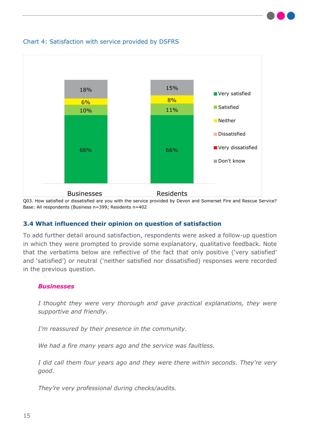

#### Chart 4: Satisfaction with service provided by DSFRS

Q03. How satisfied or dissatisfied are you with the service provided by Devon and Somerset Fire and Rescue Service? Base: All respondents (Business n=399; Residents n=402

#### <span id="page-14-0"></span>**3.4 What influenced their opinion on question of satisfaction**

To add further detail around satisfaction, respondents were asked a follow-up question in which they were prompted to provide some explanatory, qualitative feedback. Note that the verbatims below are reflective of the fact that only positive ('very satisfied' and 'satisfied') or neutral ('neither satisfied nor dissatisfied) responses were recorded in the previous question.

#### *Businesses*

*I thought they were very thorough and gave practical explanations, they were supportive and friendly.*

*I'm reassured by their presence in the community.*

*We had a fire many years ago and the service was faultless.*

*I did call them four years ago and they were there within seconds. They're very good.*

*They're very professional during checks/audits.*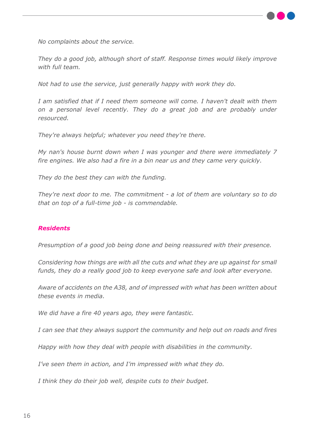

*No complaints about the service.*

*They do a good job, although short of staff. Response times would likely improve with full team.*

*Not had to use the service, just generally happy with work they do.*

*I am satisfied that if I need them someone will come. I haven't dealt with them on a personal level recently. They do a great job and are probably under resourced.*

*They're always helpful; whatever you need they're there.*

*My nan's house burnt down when I was younger and there were immediately 7 fire engines. We also had a fire in a bin near us and they came very quickly.*

*They do the best they can with the funding.*

*They're next door to me. The commitment - a lot of them are voluntary so to do that on top of a full-time job - is commendable.*

#### *Residents*

*Presumption of a good job being done and being reassured with their presence.*

*Considering how things are with all the cuts and what they are up against for small funds, they do a really good job to keep everyone safe and look after everyone.*

*Aware of accidents on the A38, and of impressed with what has been written about these events in media.*

*We did have a fire 40 years ago, they were fantastic.*

*I can see that they always support the community and help out on roads and fires*

*Happy with how they deal with people with disabilities in the community.*

*I've seen them in action, and I'm impressed with what they do.*

*I think they do their job well, despite cuts to their budget.*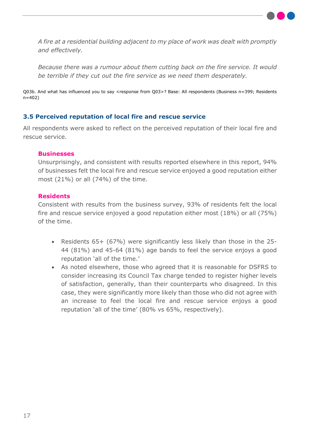

*A fire at a residential building adjacent to my place of work was dealt with promptly and effectively.*

*Because there was a rumour about them cutting back on the fire service. It would be terrible if they cut out the fire service as we need them desperately.*

Q03b. And what has influenced you to say <response from Q03>? Base: All respondents (Business n=399; Residents n=402)

#### <span id="page-16-0"></span>**3.5 Perceived reputation of local fire and rescue service**

All respondents were asked to reflect on the perceived reputation of their local fire and rescue service.

#### **Businesses**

Unsurprisingly, and consistent with results reported elsewhere in this report, 94% of businesses felt the local fire and rescue service enjoyed a good reputation either most (21%) or all (74%) of the time.

#### **Residents**

Consistent with results from the business survey, 93% of residents felt the local fire and rescue service enjoyed a good reputation either most (18%) or all (75%) of the time.

- Residents 65+ (67%) were significantly less likely than those in the 25- 44 (81%) and 45-64 (81%) age bands to feel the service enjoys a good reputation 'all of the time.'
- As noted elsewhere, those who agreed that it is reasonable for DSFRS to consider increasing its Council Tax charge tended to register higher levels of satisfaction, generally, than their counterparts who disagreed. In this case, they were significantly more likely than those who did not agree with an increase to feel the local fire and rescue service enjoys a good reputation 'all of the time' (80% vs 65%, respectively).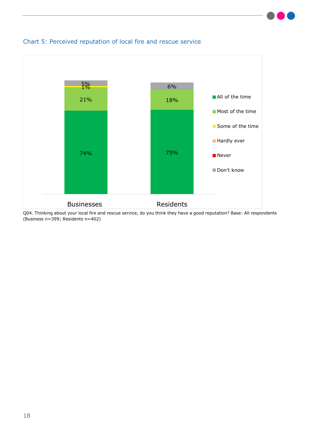

#### Chart 5: Perceived reputation of local fire and rescue service

Q04. Thinking about your local fire and rescue service, do you think they have a good reputation? Base: All respondents (Business n=399; Residents n=402)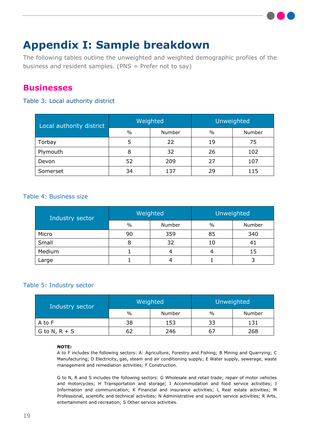## <span id="page-18-0"></span>**Appendix I: Sample breakdown**

The following tables outline the unweighted and weighted demographic profiles of the business and resident samples. (PNS = Prefer not to say)

### <span id="page-18-1"></span>**Businesses**

#### Table 3: Local authority district

| Local authority district | Weighted      |        | Unweighted |        |
|--------------------------|---------------|--------|------------|--------|
|                          | $\frac{0}{0}$ | Number | $\%$       | Number |
| Torbay                   |               | 22     | 19         | 75     |
| Plymouth                 | 8             | 32     | 26         | 102    |
| Devon                    | 52            | 209    | 27         | 107    |
| Somerset                 | 34            | 137    | 29         | 115    |

#### Table 4: Business size

| Industry sector | Weighted |        | Unweighted    |        |
|-----------------|----------|--------|---------------|--------|
|                 | $\%$     | Number | $\frac{0}{0}$ | Number |
| Micro           | 90       | 359    | 85            | 340    |
| Small           | 8        | 32     |               | 41     |
| Medium          |          |        |               | 15     |
| Large           |          |        |               |        |

#### Table 5: Industry sector

| Industry sector | Weighted |        | Unweighted    |        |
|-----------------|----------|--------|---------------|--------|
|                 | $\%$     | Number | $\frac{0}{0}$ | Number |
| A to F          | 38       | 153    | 33            | 131    |
| G to N, $R + S$ |          | 246    |               | 268    |

#### **NOTE:**

A to F includes the following sectors: A: Agriculture, Forestry and Fishing; B Mining and Quarrying; C Manufacturing; D Electricity, gas, steam and air conditioning supply; E Water supply, sewerage, waste management and remediation activities; F Construction.

G to N, R and S includes the following sectors: G Wholesale and retail trade; repair of motor vehicles and motorcycles; H Transportation and storage; I Accommodation and food service activities; J Information and communication; K Financial and insurance activities; L Real estate activities; M Professional, scientific and technical activities; N Administrative and support service activities; R Arts, entertainment and recreation; S Other service activities.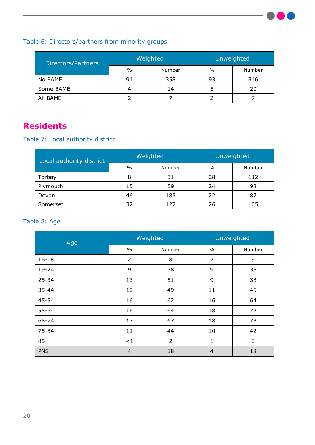

### Table 6: Directors/partners from minority groups

| Directors/Partners | Weighted |        | Unweighted |        |
|--------------------|----------|--------|------------|--------|
|                    | $\%$     | Number | $\%$       | Number |
| No BAME            | 94       | 358    | 93         | 346    |
| Some BAME          |          | 14     |            | 20     |
| All BAME           |          |        |            |        |

### <span id="page-19-0"></span>**Residents**

Table 7: Local authority district

| Local authority district | Weighted      |        | <b>Unweighted</b> |        |
|--------------------------|---------------|--------|-------------------|--------|
|                          | $\frac{0}{0}$ | Number | $\frac{0}{0}$     | Number |
| Torbay                   | 8             | 31     | 28                | 112    |
| Plymouth                 | 15            | 59     | 24                | 98     |
| Devon                    | 46            | 185    | 22                | 87     |
| Somerset                 | 32            | 127    | 26                | 105    |

#### Table 8: Age

| Age        | Weighted       |                | Unweighted     |        |
|------------|----------------|----------------|----------------|--------|
|            | $\frac{0}{0}$  | Number         | $\frac{0}{0}$  | Number |
| $16 - 18$  | $\overline{2}$ | 8              | $\overline{2}$ | 9      |
| $19 - 24$  | 9              | 38             | 9              | 38     |
| $25 - 34$  | 13             | 51             | 9              | 38     |
| $35 - 44$  | 12             | 49             | 11             | 45     |
| $45 - 54$  | 16             | 62             | 16             | 64     |
| $55 - 64$  | 16             | 64             | 18             | 72     |
| 65-74      | 17             | 67             | 18             | 73     |
| 75-84      | 11             | 44             | 10             | 42     |
| $85+$      | ${<}1$         | $\overline{2}$ | $\mathbf{1}$   | 3      |
| <b>PNS</b> | $\overline{4}$ | 18             | $\overline{4}$ | 18     |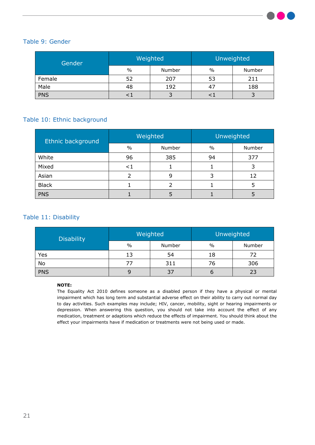

#### Table 9: Gender

| Gender     | Weighted |        | Unweighted |        |
|------------|----------|--------|------------|--------|
|            | $\%$     | Number | $\%$       | Number |
| Female     | 52       | 207    | 53         | 211    |
| Male       | 48       | 192    |            | 188    |
| <b>PNS</b> |          |        |            |        |

#### Table 10: Ethnic background

| Ethnic background | Weighted |        | Unweighted    |        |
|-------------------|----------|--------|---------------|--------|
|                   | $\%$     | Number | $\frac{0}{0}$ | Number |
| White             | 96       | 385    | 94            | 377    |
| Mixed             | ${<}\,1$ |        |               |        |
| Asian             |          | 9      |               | 12     |
| <b>Black</b>      |          | 2      |               |        |
| <b>PNS</b>        |          |        |               |        |

#### Table 11: Disability

| <b>Disability</b> | Weighted |        | Unweighted |        |
|-------------------|----------|--------|------------|--------|
|                   | $\%$     | Number | $\%$       | Number |
| Yes               | 13       | 54     | 18         | 72     |
| No                |          | 311    | 76         | 306    |
| <b>PNS</b>        |          | 37     |            | 23     |

#### **NOTE:**

The Equality Act 2010 defines someone as a disabled person if they have a physical or mental impairment which has long term and substantial adverse effect on their ability to carry out normal day to day activities. Such examples may include; HIV, cancer, mobility, sight or hearing impairments or depression. When answering this question, you should not take into account the effect of any medication, treatment or adaptions which reduce the effects of impairment. You should think about the effect your impairments have if medication or treatments were not being used or made.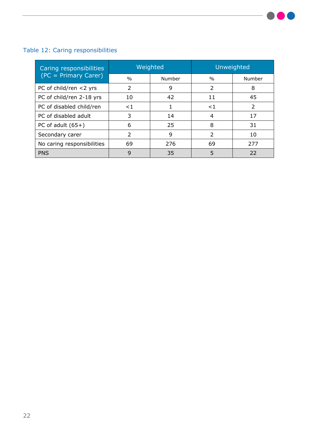### Table 12: Caring responsibilities

| Caring responsibilities    | Weighted                 |        | Unweighted     |                          |
|----------------------------|--------------------------|--------|----------------|--------------------------|
| $(C = Primary Care)$       | $\frac{0}{0}$            | Number | $\frac{0}{0}$  | Number                   |
| PC of child/ren <2 yrs     | $\mathcal{P}$            | 9      | $\overline{2}$ | 8                        |
| PC of child/ren 2-18 yrs   | 10                       | 42     | 11             | 45                       |
| PC of disabled child/ren   | $\leq$ 1                 |        | ${<}1$         | $\overline{\phantom{a}}$ |
| PC of disabled adult       | 3                        | 14     | 4              | 17                       |
| PC of adult $(65+)$        | 6                        | 25     | 8              | 31                       |
| Secondary carer            | $\overline{\phantom{a}}$ | 9      | $\overline{2}$ | 10                       |
| No caring responsibilities | 69                       | 276    | 69             | 277                      |
| <b>PNS</b>                 | 9                        | 35     | 5              | 22                       |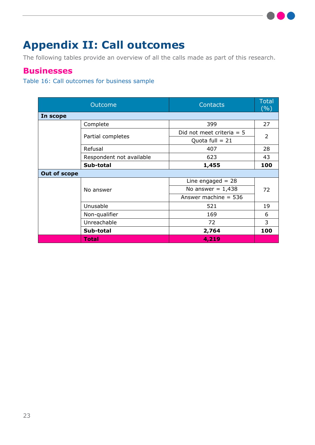## <span id="page-22-0"></span>**Appendix II: Call outcomes**

The following tables provide an overview of all the calls made as part of this research.

### <span id="page-22-1"></span>**Businesses**

## Table 16: Call outcomes for business sample

| Outcome             |                          | <b>Contacts</b>             | <b>Total</b><br>(%) |  |
|---------------------|--------------------------|-----------------------------|---------------------|--|
| In scope            |                          |                             |                     |  |
|                     | Complete                 | 399                         | 27                  |  |
|                     | Partial completes        | Did not meet criteria $= 5$ | $\overline{2}$      |  |
|                     |                          | Quota full = $21$           |                     |  |
|                     | Refusal                  | 407                         | 28                  |  |
|                     | Respondent not available | 623                         | 43                  |  |
|                     | Sub-total                | 1,455                       | 100                 |  |
| <b>Out of scope</b> |                          |                             |                     |  |
|                     | No answer                | Line engaged $= 28$         |                     |  |
|                     |                          | No answer = $1,438$         | 72                  |  |
|                     |                          | Answer machine $= 536$      |                     |  |
|                     | Unusable                 | 521                         | 19                  |  |
|                     | Non-qualifier            | 169                         | 6                   |  |
|                     | Unreachable              | 72                          | 3                   |  |
|                     | Sub-total                | 2,764                       | 100                 |  |
|                     | Total                    | 4,219                       |                     |  |